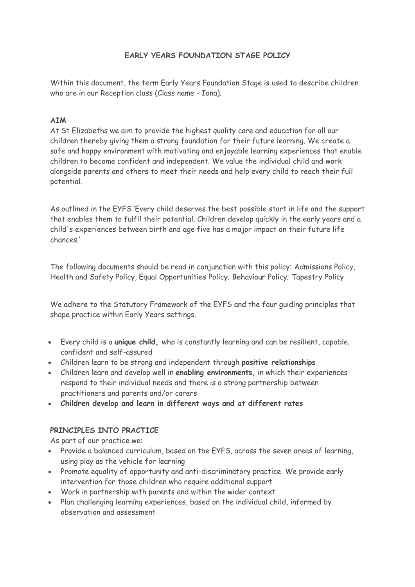# **EARLY YEARS FOUNDATION STAGE POLICY**

Within this document, the term Early Years Foundation Stage is used to describe children who are in our Reception class (Class name - Iona).

# **AIM**

At St Elizabeths we aim to provide the highest quality care and education for all our children thereby giving them a strong foundation for their future learning. We create a safe and happy environment with motivating and enjoyable learning experiences that enable children to become confident and independent. We value the individual child and work alongside parents and others to meet their needs and help every child to reach their full potential.

As outlined in the EYFS 'Every child deserves the best possible start in life and the support that enables them to fulfil their potential. Children develop quickly in the early years and a child's experiences between birth and age five has a major impact on their future life chances.'

The following documents should be read in conjunction with this policy: Admissions Policy, Health and Safety Policy, Equal Opportunities Policy; Behaviour Policy; Tapestry Policy

We adhere to the Statutory Framework of the EYFS and the four guiding principles that shape practice within Early Years settings.

- Every child is a **unique child,** who is constantly learning and can be resilient, capable, confident and self-assured
- Children learn to be strong and independent through **positive relationships**
- Children learn and develop well in **enabling environments,** in which their experiences respond to their individual needs and there is a strong partnership between practitioners and parents and/or carers
- **Children develop and learn in different ways and at different rates**

## **PRINCIPLES INTO PRACTICE**

As part of our practice we:

- Provide a balanced curriculum, based on the EYFS, across the seven areas of learning, using play as the vehicle for learning
- Promote equality of opportunity and anti-discriminatory practice. We provide early intervention for those children who require additional support
- Work in partnership with parents and within the wider context
- Plan challenging learning experiences, based on the individual child, informed by observation and assessment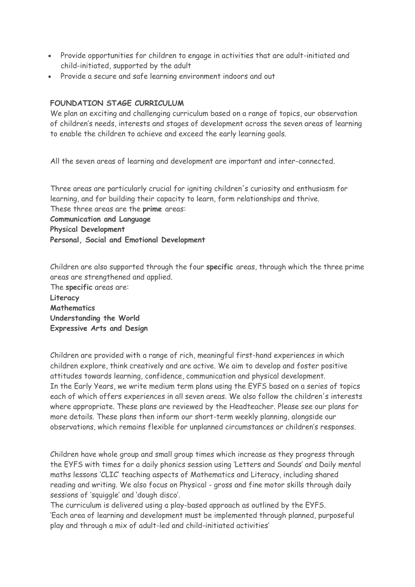- Provide opportunities for children to engage in activities that are adult-initiated and child-initiated, supported by the adult
- Provide a secure and safe learning environment indoors and out

### **FOUNDATION STAGE CURRICULUM**

We plan an exciting and challenging curriculum based on a range of topics, our observation of children's needs, interests and stages of development across the seven areas of learning to enable the children to achieve and exceed the early learning goals.

All the seven areas of learning and development are important and inter-connected.

Three areas are particularly crucial for igniting children's curiosity and enthusiasm for learning, and for building their capacity to learn, form relationships and thrive. These three areas are the **prime** areas: **Communication and Language Physical Development Personal, Social and Emotional Development**

Children are also supported through the four **specific** areas, through which the three prime areas are strengthened and applied.

The **specific** areas are: **Literacy Mathematics Understanding the World Expressive Arts and Design**

Children are provided with a range of rich, meaningful first-hand experiences in which children explore, think creatively and are active. We aim to develop and foster positive attitudes towards learning, confidence, communication and physical development. In the Early Years, we write medium term plans using the EYFS based on a series of topics each of which offers experiences in all seven areas. We also follow the children's interests where appropriate. These plans are reviewed by the Headteacher. Please see our plans for more details. These plans then inform our short-term weekly planning, alongside our observations, which remains flexible for unplanned circumstances or children's responses.

Children have whole group and small group times which increase as they progress through the EYFS with times for a daily phonics session using 'Letters and Sounds' and Daily mental maths lessons 'CLIC' teaching aspects of Mathematics and Literacy, including shared reading and writing. We also focus on Physical - gross and fine motor skills through daily sessions of 'squiggle' and 'dough disco'.

The curriculum is delivered using a play-based approach as outlined by the EYFS. 'Each area of learning and development must be implemented through planned, purposeful play and through a mix of adult-led and child-initiated activities'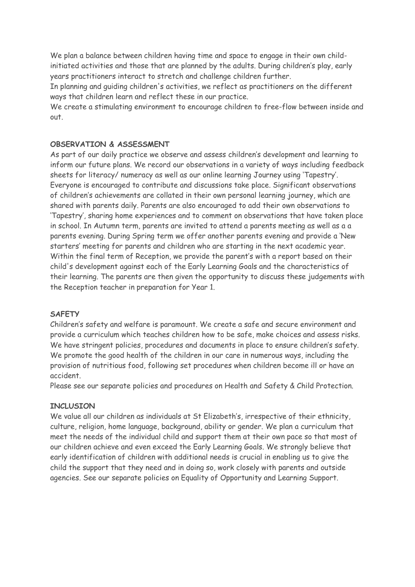We plan a balance between children having time and space to engage in their own childinitiated activities and those that are planned by the adults. During children's play, early years practitioners interact to stretch and challenge children further.

In planning and guiding children's activities, we reflect as practitioners on the different ways that children learn and reflect these in our practice.

We create a stimulating environment to encourage children to free-flow between inside and out.

### **OBSERVATION & ASSESSMENT**

As part of our daily practice we observe and assess children's development and learning to inform our future plans. We record our observations in a variety of ways including feedback sheets for literacy/ numeracy as well as our online learning Journey using 'Tapestry'. Everyone is encouraged to contribute and discussions take place. Significant observations of children's achievements are collated in their own personal learning journey, which are shared with parents daily. Parents are also encouraged to add their own observations to 'Tapestry', sharing home experiences and to comment on observations that have taken place in school. In Autumn term, parents are invited to attend a parents meeting as well as a a parents evening. During Spring term we offer another parents evening and provide a 'New starters' meeting for parents and children who are starting in the next academic year. Within the final term of Reception, we provide the parent's with a report based on their child's development against each of the Early Learning Goals and the characteristics of their learning. The parents are then given the opportunity to discuss these judgements with the Reception teacher in preparation for Year 1.

### **SAFETY**

Children's safety and welfare is paramount. We create a safe and secure environment and provide a curriculum which teaches children how to be safe, make choices and assess risks. We have stringent policies, procedures and documents in place to ensure children's safety. We promote the good health of the children in our care in numerous ways, including the provision of nutritious food, following set procedures when children become ill or have an accident.

Please see our separate policies and procedures on Health and Safety & Child Protection.

### **INCLUSION**

We value all our children as individuals at St Elizabeth's, irrespective of their ethnicity, culture, religion, home language, background, ability or gender. We plan a curriculum that meet the needs of the individual child and support them at their own pace so that most of our children achieve and even exceed the Early Learning Goals. We strongly believe that early identification of children with additional needs is crucial in enabling us to give the child the support that they need and in doing so, work closely with parents and outside agencies. See our separate policies on Equality of Opportunity and Learning Support.